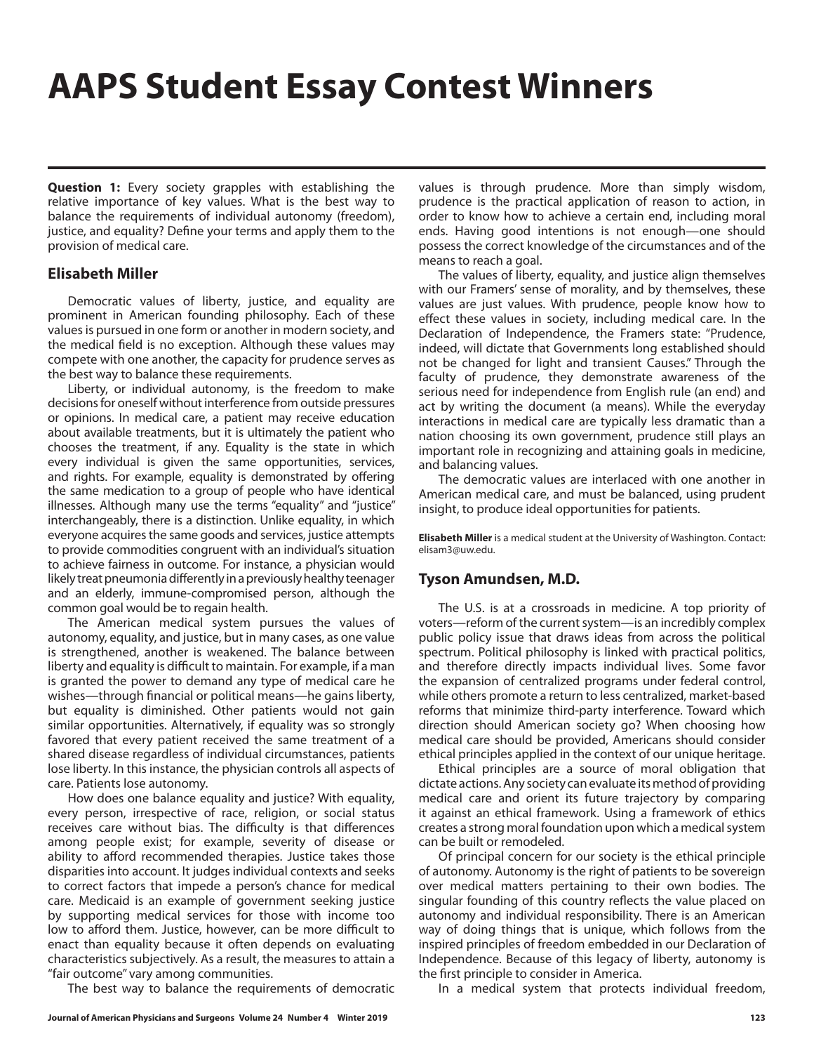## **AAPS Student Essay Contest Winners**

**Question 1:** Every society grapples with establishing the relative importance of key values. What is the best way to balance the requirements of individual autonomy (freedom), justice, and equality? Define your terms and apply them to the provision of medical care.

## **Elisabeth Miller**

Democratic values of liberty, justice, and equality are prominent in American founding philosophy. Each of these values is pursued in one form or another in modern society, and the medical field is no exception. Although these values may compete with one another, the capacity for prudence serves as the best way to balance these requirements.

Liberty, or individual autonomy, is the freedom to make decisions for oneself without interference from outside pressures or opinions. In medical care, a patient may receive education about available treatments, but it is ultimately the patient who chooses the treatment, if any. Equality is the state in which every individual is given the same opportunities, services, and rights. For example, equality is demonstrated by offering the same medication to a group of people who have identical illnesses. Although many use the terms "equality" and "justice" interchangeably, there is a distinction. Unlike equality, in which everyone acquires the same goods and services, justice attempts to provide commodities congruent with an individual's situation to achieve fairness in outcome. For instance, a physician would likely treat pneumonia differently in a previously healthy teenager and an elderly, immune-compromised person, although the common goal would be to regain health.

The American medical system pursues the values of autonomy, equality, and justice, but in many cases, as one value is strengthened, another is weakened. The balance between liberty and equality is difficult to maintain. For example, if a man is granted the power to demand any type of medical care he wishes—through financial or political means—he gains liberty, but equality is diminished. Other patients would not gain similar opportunities. Alternatively, if equality was so strongly favored that every patient received the same treatment of a shared disease regardless of individual circumstances, patients lose liberty. In this instance, the physician controls all aspects of care. Patients lose autonomy.

How does one balance equality and justice? With equality, every person, irrespective of race, religion, or social status receives care without bias. The difficulty is that differences among people exist; for example, severity of disease or ability to afford recommended therapies. Justice takes those disparities into account. It judges individual contexts and seeks to correct factors that impede a person's chance for medical care. Medicaid is an example of government seeking justice by supporting medical services for those with income too low to afford them. Justice, however, can be more difficult to enact than equality because it often depends on evaluating characteristics subjectively. As a result, the measures to attain a "fair outcome" vary among communities.

The best way to balance the requirements of democratic

values is through prudence. More than simply wisdom, prudence is the practical application of reason to action, in order to know how to achieve a certain end, including moral ends. Having good intentions is not enough—one should possess the correct knowledge of the circumstances and of the means to reach a goal.

The values of liberty, equality, and justice align themselves with our Framers' sense of morality, and by themselves, these values are just values. With prudence, people know how to effect these values in society, including medical care. In the Declaration of Independence, the Framers state: "Prudence, indeed, will dictate that Governments long established should not be changed for light and transient Causes." Through the faculty of prudence, they demonstrate awareness of the serious need for independence from English rule (an end) and act by writing the document (a means). While the everyday interactions in medical care are typically less dramatic than a nation choosing its own government, prudence still plays an important role in recognizing and attaining goals in medicine, and balancing values.

The democratic values are interlaced with one another in American medical care, and must be balanced, using prudent insight, to produce ideal opportunities for patients.

**Elisabeth Miller** is a medical student at the University of Washington. Contact: elisam3@uw.edu.

## **Tyson Amundsen, M.D.**

The U.S. is at a crossroads in medicine. A top priority of voters—reform of the current system—is an incredibly complex public policy issue that draws ideas from across the political spectrum. Political philosophy is linked with practical politics, and therefore directly impacts individual lives. Some favor the expansion of centralized programs under federal control, while others promote a return to less centralized, market-based reforms that minimize third-party interference. Toward which direction should American society go? When choosing how medical care should be provided, Americans should consider ethical principles applied in the context of our unique heritage.

Ethical principles are a source of moral obligation that dictate actions. Any society can evaluate its method of providing medical care and orient its future trajectory by comparing it against an ethical framework. Using a framework of ethics creates a strong moral foundation upon which a medical system can be built or remodeled.

Of principal concern for our society is the ethical principle of autonomy. Autonomy is the right of patients to be sovereign over medical matters pertaining to their own bodies. The singular founding of this country reflects the value placed on autonomy and individual responsibility. There is an American way of doing things that is unique, which follows from the inspired principles of freedom embedded in our Declaration of Independence. Because of this legacy of liberty, autonomy is the first principle to consider in America.

In a medical system that protects individual freedom,